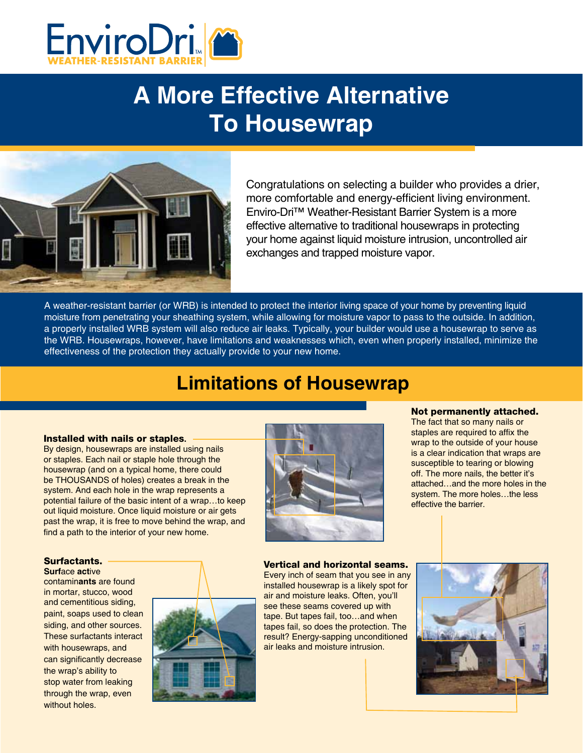

# **A More Effective Alternative To Housewrap**



Congratulations on selecting a builder who provides a drier, more comfortable and energy-efficient living environment. Enviro-Dri™ Weather-Resistant Barrier System is a more effective alternative to traditional housewraps in protecting your home against liquid moisture intrusion, uncontrolled air exchanges and trapped moisture vapor.

A weather-resistant barrier (or WRB) is intended to protect the interior living space of your home by preventing liquid moisture from penetrating your sheathing system, while allowing for moisture vapor to pass to the outside. In addition, a properly installed WRB system will also reduce air leaks. Typically, your builder would use a housewrap to serve as the WRB. Housewraps, however, have limitations and weaknesses which, even when properly installed, minimize the effectiveness of the protection they actually provide to your new home.

## **Limitations of Housewrap**

#### Installed with nails or staples**.**

By design, housewraps are installed using nails or staples. Each nail or staple hole through the housewrap (and on a typical home, there could be THOUSANDS of holes) creates a break in the system. And each hole in the wrap represents a potential failure of the basic intent of a wrap…to keep out liquid moisture. Once liquid moisture or air gets past the wrap, it is free to move behind the wrap, and find a path to the interior of your new home.

#### Surfactants.

**Surf**ace **act**ive

contamin**ants** are found in mortar, stucco, wood and cementitious siding, paint, soaps used to clean siding, and other sources. These surfactants interact with housewraps, and can significantly decrease the wrap's ability to stop water from leaking through the wrap, even without holes.





Not permanently attached. The fact that so many nails or

staples are required to affix the wrap to the outside of your house is a clear indication that wraps are susceptible to tearing or blowing off. The more nails, the better it's attached…and the more holes in the system. The more holes…the less effective the barrier.

Vertical and horizontal seams. Every inch of seam that you see in any installed housewrap is a likely spot for air and moisture leaks. Often, you'll see these seams covered up with tape. But tapes fail, too…and when tapes fail, so does the protection. The result? Energy-sapping unconditioned air leaks and moisture intrusion.